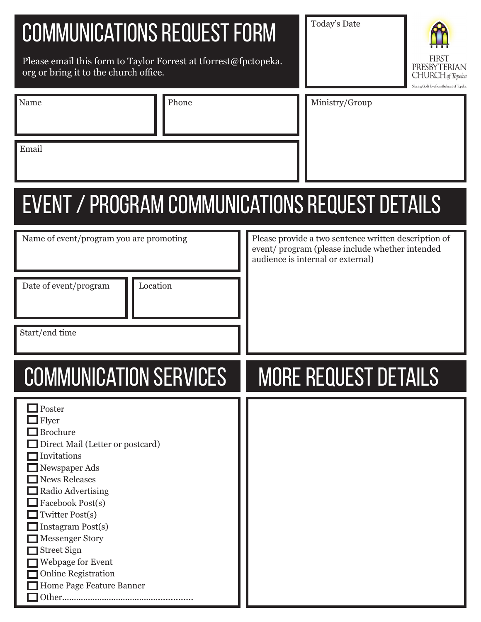# communications Request Form

Please email this form to Taylor Forrest at tforrest@fpctopeka. org or bring it to the church office.

Name Phone

Today's Date



| Ministry/Group |  |
|----------------|--|

Email

# Event / program communications request details

| Name of event/program you are promoting<br>Location<br>Date of event/program                                                                                                                                                                                                                                                                                   | Please provide a two sentence written description of<br>event/program (please include whether intended<br>audience is internal or external) |
|----------------------------------------------------------------------------------------------------------------------------------------------------------------------------------------------------------------------------------------------------------------------------------------------------------------------------------------------------------------|---------------------------------------------------------------------------------------------------------------------------------------------|
| Start/end time                                                                                                                                                                                                                                                                                                                                                 |                                                                                                                                             |
| <b>COMMUNICATION SERVICES</b>                                                                                                                                                                                                                                                                                                                                  | <b>MORE REQUEST DETAILS</b>                                                                                                                 |
| $\Box$ Poster<br>Flyer<br><b>Brochure</b><br>Direct Mail (Letter or postcard)<br>Invitations<br>Newspaper Ads<br><b>News Releases</b><br>Radio Advertising<br>Facebook Post(s)<br>Twitter Post(s)<br>Instagram Post(s)<br><b>Messenger Story</b><br><b>Street Sign</b><br>Webpage for Event<br><b>Online Registration</b><br>Home Page Feature Banner<br>Other |                                                                                                                                             |